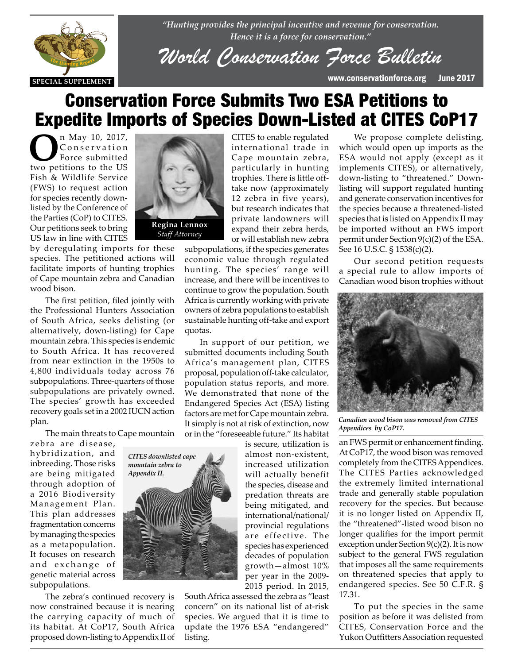

*"Hunting provides the principal incentive and revenue for conservation. Hence it is a force for conservation."*

*World Conservation Force Bulletin*

**SPECIAL SUPPLEMENT** www.conservationforce.org June 2017

# Conservation Force Submits Two ESA Petitions to Expedite Imports of Species Down-Listed at CITES CoP17

**O**n May 10, 2017, Conservation Force submitted two petitions to the US Fish & Wildlife Service (FWS) to request action for species recently downlisted by the Conference of the Parties (CoP) to CITES. Our petitions seek to bring US law in line with CITES



by deregulating imports for these species. The petitioned actions will facilitate imports of hunting trophies racintate imports of numing trophies<br>of Cape mountain zebra and Canadian wood bison.

The first petition, filed jointly with the Professional Hunters Association<br>of South Africa, seeks delisting (or of South Africa, seeks delisting (or alternatively, down-listing) for Cape mountain zebra. This species is endemic to South Africa. It has recovered from near extinction in the 1950s to 4,800 individuals today across 76 subpopulations. Three-quarters of those subpopulations are privately owned. The species' growth has exceeded recovery goals set in a 2002 IUCN action plan.

The main threats to Cape mountain

zebra are disease, hybridization, and inbreeding. Those risks are being mitigated through adoption of a 2016 Biodiversity Management Plan. This plan addresses fragmentation concerns by managing the species as a metapopulation. It focuses on research and exchange of genetic material across subpopulations.

The zebra's continued recovery is now constrained because it is nearing the carrying capacity of much of its habitat. At CoP17, South Africa proposed down-listing to Appendix II of

CITES to enable regulated international trade in Cape mountain zebra, particularly in hunting trophies. There is little offtake now (approximately 12 zebra in five years), but research indicates that private landowners will expand their zebra herds, or will establish new zebra

subpopulations, if the species generates economic value through regulated hunting. The species' range will increase, and there will be incentives to continue to grow the population. South Africa is currently working with private owners of zebra populations to establish sustainable hunting off-take and export quotas.

In support of our petition, we submitted documents including South Africa's management plan, CITES proposal, population off-take calculator, population status reports, and more. We demonstrated that none of the Endangered Species Act (ESA) listing factors are met for Cape mountain zebra. It simply is not at risk of extinction, now or in the "foreseeable future." Its habitat

> is secure, utilization is almost non-existent, increased utilization will actually benefit the species, disease and predation threats are being mitigated, and international/national/ provincial regulations are effective. The species has experienced decades of population growth—almost 10% per year in the 2009- 2015 period. In 2015,

South Africa assessed the zebra as "least concern" on its national list of at-risk species. We argued that it is time to update the 1976 ESA "endangered" listing.

We propose complete delisting, which would open up imports as the ESA would not apply (except as it implements CITES), or alternatively, down-listing to "threatened." Downlisting will support regulated hunting and generate conservation incentives for the species because a threatened-listed species that is listed on Appendix II may be imported without an FWS import permit under Section 9(c)(2) of the ESA. See 16 U.S.C. § 1538(c)(2).

Our second petition requests a special rule to allow imports of Canadian wood bison trophies without



*Canadian wood bison was removed from CITES Appendices by CoP17.*

an FWS permit or enhancement finding. At CoP17, the wood bison was removed completely from the CITES Appendices. The CITES Parties acknowledged the extremely limited international trade and generally stable population recovery for the species. But because it is no longer listed on Appendix II, the "threatened"-listed wood bison no longer qualifies for the import permit exception under Section 9(c)(2). It is now subject to the general FWS regulation that imposes all the same requirements on threatened species that apply to endangered species. See 50 C.F.R. § 17.31.

To put the species in the same position as before it was delisted from CITES, Conservation Force and the Yukon Outfitters Association requested



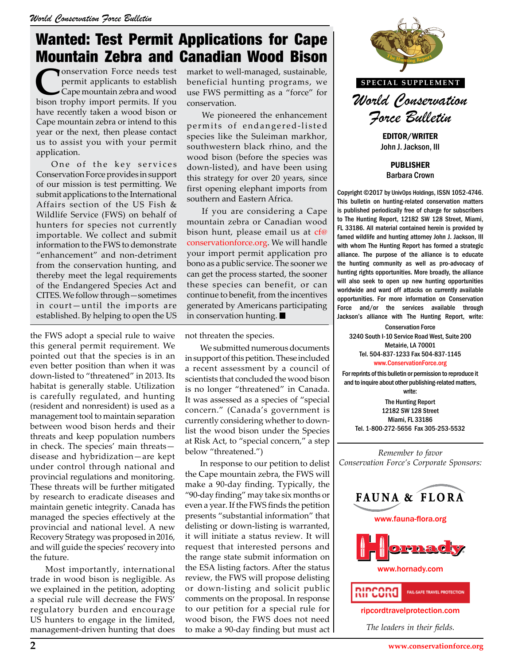# Wanted: Test Permit Applications for Cape Mountain Zebra and Canadian Wood Bison

**C**onservation Force needs test permit applicants to establish Cape mountain zebra and wood bison trophy import permits. If you have recently taken a wood bison or Cape mountain zebra or intend to this year or the next, then please contact us to assist you with your permit application.

One of the key services Conservation Force provides in support of our mission is test permitting. We submit applications to the International Affairs section of the US Fish & Wildlife Service (FWS) on behalf of hunters for species not currently importable. We collect and submit information to the FWS to demonstrate "enhancement" and non-detriment from the conservation hunting, and thereby meet the legal requirements of the Endangered Species Act and CITES. We follow through—sometimes in court—until the imports are established. By helping to open the US

the FWS adopt a special rule to waive this general permit requirement. We pointed out that the species is in an even better position than when it was down-listed to "threatened" in 2013. Its habitat is generally stable. Utilization is carefully regulated, and hunting (resident and nonresident) is used as a management tool to maintain separation between wood bison herds and their threats and keep population numbers in check. The species' main threats disease and hybridization—are kept under control through national and provincial regulations and monitoring. These threats will be further mitigated by research to eradicate diseases and maintain genetic integrity. Canada has managed the species effectively at the provincial and national level. A new Recovery Strategy was proposed in 2016, and will guide the species' recovery into the future.

Most importantly, international trade in wood bison is negligible. As we explained in the petition, adopting a special rule will decrease the FWS' regulatory burden and encourage US hunters to engage in the limited, management-driven hunting that does market to well-managed, sustainable, beneficial hunting programs, we use FWS permitting as a "force" for conservation.

We pioneered the enhancement permits of endangered-listed species like the Suleiman markhor, southwestern black rhino, and the wood bison (before the species was down-listed), and have been using this strategy for over 20 years, since first opening elephant imports from southern and Eastern Africa.

If you are considering a Cape mountain zebra or Canadian wood bison hunt, please email us at cf@ conservationforce.org. We will handle your import permit application pro bono as a public service. The sooner we can get the process started, the sooner these species can benefit, or can continue to benefit, from the incentives generated by Americans participating in conservation hunting.

not threaten the species.

We submitted numerous documents in support of this petition. These included a recent assessment by a council of scientists that concluded the wood bison is no longer "threatened" in Canada. It was assessed as a species of "special concern." (Canada's government is currently considering whether to downlist the wood bison under the Species at Risk Act, to "special concern," a step below "threatened.")

In response to our petition to delist the Cape mountain zebra, the FWS will make a 90-day finding. Typically, the "90-day finding" may take six months or even a year. If the FWS finds the petition presents "substantial information" that delisting or down-listing is warranted, it will initiate a status review. It will request that interested persons and the range state submit information on the ESA listing factors. After the status review, the FWS will propose delisting or down-listing and solicit public comments on the proposal. In response to our petition for a special rule for wood bison, the FWS does not need to make a 90-day finding but must act



*World Conservation Force Bulletin*

EDITOR/WRITER John J. Jackson, III

PUBLISHER Barbara Crown

Copyright ©2017 by UnivOps Holdings, ISSN 1052-4746. This bulletin on hunting-related conservation matters is published periodically free of charge for subscribers to The Hunting Report, 12182 SW 128 Street, Miami, FL 33186. All material contained herein is provided by famed wildlife and hunting attorney John J. Jackson, III with whom The Hunting Report has formed a strategic alliance. The purpose of the alliance is to educate the hunting community as well as pro-advocacy of ed, the sooner hunting rights opportunities. More broadly, the alliance<br>nefit, or can will also seek to open up new hunting opportunities will also seek to open up new hunting opportunities worldwide and ward off attacks on currently available opportunities. For more information on Conservation Force and/or the services available through **Heading** Force and/or the services available through  $\blacksquare$  and and/or the services available through  $\blacksquare$ 

Conservation Force 3240 South I-10 Service Road West, Suite 200 Metairie, LA 70001 Tel. 504-837-1233 Fax 504-837-1145 www.ConservationForce.org

For reprints of this bulletin or permission to reproduce it and to inquire about other publishing-related matters, write:

The Hunting Report 12182 SW 128 Street Miami, FL 33186 Tel. 1-800-272-5656 Fax 305-253-5532

*Remember to favor Conservation Force's Corporate Sponsors:*



ripcordtravelprotection.com

*The leaders in their fields.*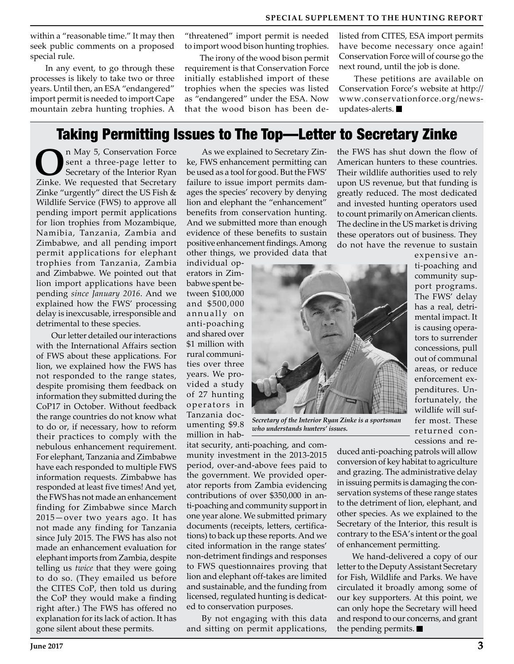within a "reasonable time." It may then seek public comments on a proposed special rule.

In any event, to go through these processes is likely to take two or three years. Until then, an ESA "endangered" import permit is needed to import Cape mountain zebra hunting trophies. A "threatened" import permit is needed to import wood bison hunting trophies.

The irony of the wood bison permit requirement is that Conservation Force initially established import of these trophies when the species was listed as "endangered" under the ESA. Now that the wood bison has been delisted from CITES, ESA import permits have become necessary once again! Conservation Force will of course go the next round, until the job is done.

These petitions are available on Conservation Force's website at http:// www.conservationforce.org/newsupdates-alerts.

#### Taking Permitting Issues to The Top—Letter to Secretary Zinke

**O**n May 5, Conservation Force<br>
sent a three-page letter to<br>
Secretary of the Interior Ryan<br>
Tipke We requested that Secretary sent a three-page letter to Zinke. We requested that Secretary Zinke "urgently" direct the US Fish & Wildlife Service (FWS) to approve all pending import permit applications for lion trophies from Mozambique, Namibia, Tanzania, Zambia and Zimbabwe, and all pending import permit applications for elephant trophies from Tanzania, Zambia and Zimbabwe. We pointed out that lion import applications have been pending *since January 2016*. And we explained how the FWS' processing delay is inexcusable, irresponsible and detrimental to these species.

Our letter detailed our interactions with the International Affairs section of FWS about these applications. For lion, we explained how the FWS has not responded to the range states, despite promising them feedback on information they submitted during the CoP17 in October. Without feedback the range countries do not know what to do or, if necessary, how to reform their practices to comply with the nebulous enhancement requirement. For elephant, Tanzania and Zimbabwe have each responded to multiple FWS information requests. Zimbabwe has responded at least five times! And yet, the FWS has not made an enhancement finding for Zimbabwe since March 2015—over two years ago. It has not made any finding for Tanzania since July 2015. The FWS has also not made an enhancement evaluation for elephant imports from Zambia, despite telling us *twice* that they were going to do so. (They emailed us before the CITES CoP, then told us during the CoP they would make a finding right after.) The FWS has offered no explanation for its lack of action. It has gone silent about these permits.

As we explained to Secretary Zinke, FWS enhancement permitting can be used as a tool for good. But the FWS' failure to issue import permits damages the species' recovery by denying lion and elephant the "enhancement" benefits from conservation hunting. And we submitted more than enough evidence of these benefits to sustain positive enhancement findings. Among other things, we provided data that

individual operators in Zimbabwe spent between \$100,000 and \$500,000 annually on anti-poaching and shared over \$1 million with rural communities over three years. We provided a study of 27 hunting operators in Tanzania documenting \$9.8 million in hab-



*Secretary of the Interior Ryan Zinke is a sportsman who understands hunters' issues.*

itat security, anti-poaching, and community investment in the 2013-2015 period, over-and-above fees paid to the government. We provided operator reports from Zambia evidencing contributions of over \$350,000 in anti-poaching and community support in one year alone. We submitted primary documents (receipts, letters, certifications) to back up these reports. And we cited information in the range states' non-detriment findings and responses to FWS questionnaires proving that lion and elephant off-takes are limited and sustainable, and the funding from licensed, regulated hunting is dedicated to conservation purposes.

By not engaging with this data and sitting on permit applications,

the FWS has shut down the flow of American hunters to these countries. Their wildlife authorities used to rely upon US revenue, but that funding is greatly reduced. The most dedicated and invested hunting operators used to count primarily on American clients. The decline in the US market is driving these operators out of business. They do not have the revenue to sustain

expensive anti-poaching and community support programs. The FWS' delay has a real, detrimental impact. It is causing operators to surrender concessions, pull out of communal areas, or reduce enforcement expenditures. Unfortunately, the wildlife will suffer most. These returned concessions and re-

duced anti-poaching patrols will allow conversion of key habitat to agriculture and grazing. The administrative delay in issuing permits is damaging the conservation systems of these range states to the detriment of lion, elephant, and other species. As we explained to the Secretary of the Interior, this result is contrary to the ESA's intent or the goal of enhancement permitting.

We hand-delivered a copy of our letter to the Deputy Assistant Secretary for Fish, Wildlife and Parks. We have circulated it broadly among some of our key supporters. At this point, we can only hope the Secretary will heed and respond to our concerns, and grant the pending permits.